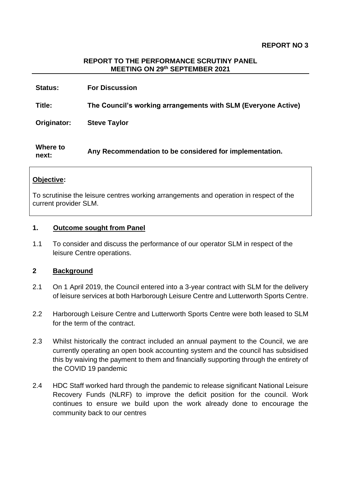#### **REPORT TO THE PERFORMANCE SCRUTINY PANEL MEETING ON 29th SEPTEMBER 2021**

| <b>Status:</b>    | <b>For Discussion</b>                                         |
|-------------------|---------------------------------------------------------------|
| Title:            | The Council's working arrangements with SLM (Everyone Active) |
| Originator:       | <b>Steve Taylor</b>                                           |
| Where to<br>next: | Any Recommendation to be considered for implementation.       |

#### **Objective:**

To scrutinise the leisure centres working arrangements and operation in respect of the current provider SLM.

#### **1. Outcome sought from Panel**

1.1 To consider and discuss the performance of our operator SLM in respect of the leisure Centre operations.

#### **2 Background**

- 2.1 On 1 April 2019, the Council entered into a 3-year contract with SLM for the delivery of leisure services at both Harborough Leisure Centre and Lutterworth Sports Centre.
- 2.2 Harborough Leisure Centre and Lutterworth Sports Centre were both leased to SLM for the term of the contract.
- 2.3 Whilst historically the contract included an annual payment to the Council, we are currently operating an open book accounting system and the council has subsidised this by waiving the payment to them and financially supporting through the entirety of the COVID 19 pandemic
- 2.4 HDC Staff worked hard through the pandemic to release significant National Leisure Recovery Funds (NLRF) to improve the deficit position for the council. Work continues to ensure we build upon the work already done to encourage the community back to our centres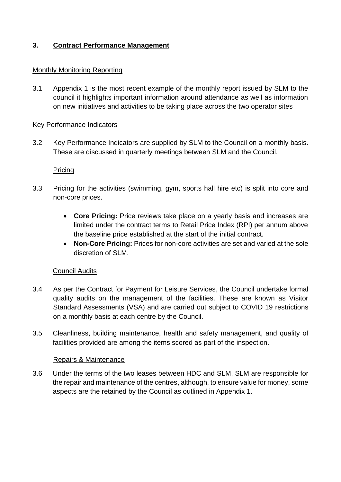# **3. Contract Performance Management**

### Monthly Monitoring Reporting

3.1 Appendix 1 is the most recent example of the monthly report issued by SLM to the council it highlights important information around attendance as well as information on new initiatives and activities to be taking place across the two operator sites

### Key Performance Indicators

3.2 Key Performance Indicators are supplied by SLM to the Council on a monthly basis. These are discussed in quarterly meetings between SLM and the Council.

### **Pricing**

- 3.3 Pricing for the activities (swimming, gym, sports hall hire etc) is split into core and non-core prices.
	- **Core Pricing:** Price reviews take place on a yearly basis and increases are limited under the contract terms to Retail Price Index (RPI) per annum above the baseline price established at the start of the initial contract.
	- **Non-Core Pricing:** Prices for non-core activities are set and varied at the sole discretion of SLM.

# Council Audits

- 3.4 As per the Contract for Payment for Leisure Services, the Council undertake formal quality audits on the management of the facilities. These are known as Visitor Standard Assessments (VSA) and are carried out subject to COVID 19 restrictions on a monthly basis at each centre by the Council.
- 3.5 Cleanliness, building maintenance, health and safety management, and quality of facilities provided are among the items scored as part of the inspection.

#### Repairs & Maintenance

3.6 Under the terms of the two leases between HDC and SLM, SLM are responsible for the repair and maintenance of the centres, although, to ensure value for money, some aspects are the retained by the Council as outlined in Appendix 1.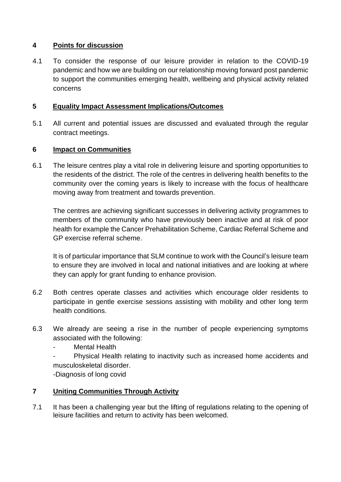# **4 Points for discussion**

4.1 To consider the response of our leisure provider in relation to the COVID-19 pandemic and how we are building on our relationship moving forward post pandemic to support the communities emerging health, wellbeing and physical activity related concerns

# **5 Equality Impact Assessment Implications/Outcomes**

5.1 All current and potential issues are discussed and evaluated through the regular contract meetings.

# **6 Impact on Communities**

6.1 The leisure centres play a vital role in delivering leisure and sporting opportunities to the residents of the district. The role of the centres in delivering health benefits to the community over the coming years is likely to increase with the focus of healthcare moving away from treatment and towards prevention.

The centres are achieving significant successes in delivering activity programmes to members of the community who have previously been inactive and at risk of poor health for example the Cancer Prehabilitation Scheme, Cardiac Referral Scheme and GP exercise referral scheme.

It is of particular importance that SLM continue to work with the Council's leisure team to ensure they are involved in local and national initiatives and are looking at where they can apply for grant funding to enhance provision.

- 6.2 Both centres operate classes and activities which encourage older residents to participate in gentle exercise sessions assisting with mobility and other long term health conditions.
- 6.3 We already are seeing a rise in the number of people experiencing symptoms associated with the following:

Mental Health

Physical Health relating to inactivity such as increased home accidents and musculoskeletal disorder.

-Diagnosis of long covid

# **7 Uniting Communities Through Activity**

7.1 It has been a challenging year but the lifting of regulations relating to the opening of leisure facilities and return to activity has been welcomed.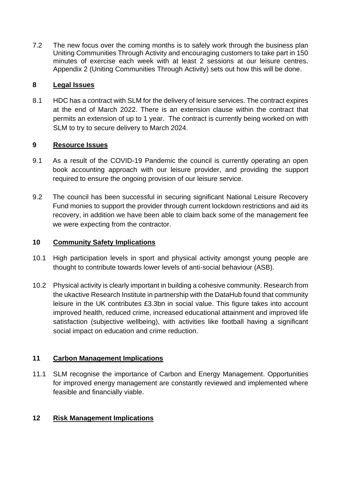7.2 The new focus over the coming months is to safely work through the business plan Uniting Communities Through Activity and encouraging customers to take part in 150 minutes of exercise each week with at least 2 sessions at our leisure centres. Appendix 2 (Uniting Communities Through Activity) sets out how this will be done.

# **8 Legal Issues**

8.1 HDC has a contract with SLM for the delivery of leisure services. The contract expires at the end of March 2022. There is an extension clause within the contract that permits an extension of up to 1 year. The contract is currently being worked on with SLM to try to secure delivery to March 2024.

### **9 Resource Issues**

- 9.1 As a result of the COVID-19 Pandemic the council is currently operating an open book accounting approach with our leisure provider, and providing the support required to ensure the ongoing provision of our leisure service.
- 9.2 The council has been successful in securing significant National Leisure Recovery Fund monies to support the provider through current lockdown restrictions and aid its recovery, in addition we have been able to claim back some of the management fee we were expecting from the contractor.

### **10 Community Safety Implications**

- 10.1 High participation levels in sport and physical activity amongst young people are thought to contribute towards lower levels of anti-social behaviour (ASB).
- 10.2 Physical activity is clearly important in building a cohesive community. Research from the ukactive Research Institute in partnership with the DataHub found that community leisure in the UK contributes £3.3bn in social value. This figure takes into account improved health, reduced crime, increased educational attainment and improved life satisfaction (subjective wellbeing), with activities like football having a significant social impact on education and crime reduction.

# **11 Carbon Management Implications**

11.1 SLM recognise the importance of Carbon and Energy Management. Opportunities for improved energy management are constantly reviewed and implemented where feasible and financially viable.

# **12 Risk Management Implications**